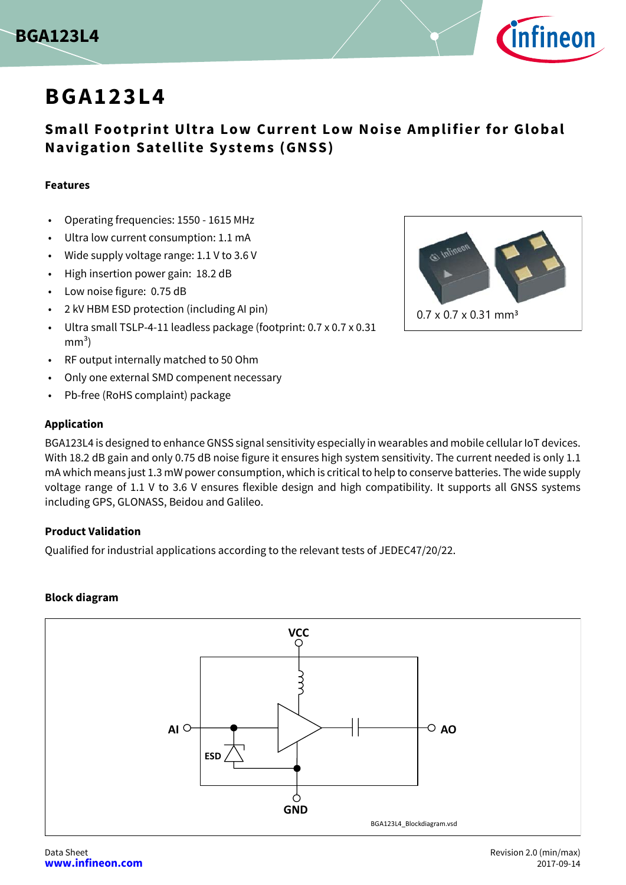



# **BGA123L4**

## **Small Footprint Ultra Low Current Low Noise Amplifier for Global Navigation Satellite Systems (GNSS)**

### **Features**

- Operating frequencies: 1550 1615 MHz
- Ultra low current consumption: 1.1 mA
- Wide supply voltage range: 1.1 V to 3.6 V
- High insertion power gain: 18.2 dB
- Low noise figure: 0.75 dB
- 2 kV HBM ESD protection (including AI pin)
- Ultra small TSLP-4-11 leadless package (footprint: 0.7 x 0.7 x 0.31  $mm<sup>3</sup>$ )
- RF output internally matched to 50 Ohm
- Only one external SMD compenent necessary
- Pb-free (RoHS complaint) package

### **Application**

BGA123L4 is designed to enhance GNSS signal sensitivity especially in wearables and mobile cellular IoT devices. With 18.2 dB gain and only 0.75 dB noise figure it ensures high system sensitivity. The current needed is only 1.1 mA which means just 1.3 mW power consumption, which is critical to help to conserve batteries. The wide supply voltage range of 1.1 V to 3.6 V ensures flexible design and high compatibility. It supports all GNSS systems including GPS, GLONASS, Beidou and Galileo.

### **Product Validation**

Qualified for industrial applications according to the relevant tests of JEDEC47/20/22.

### **Block diagram**



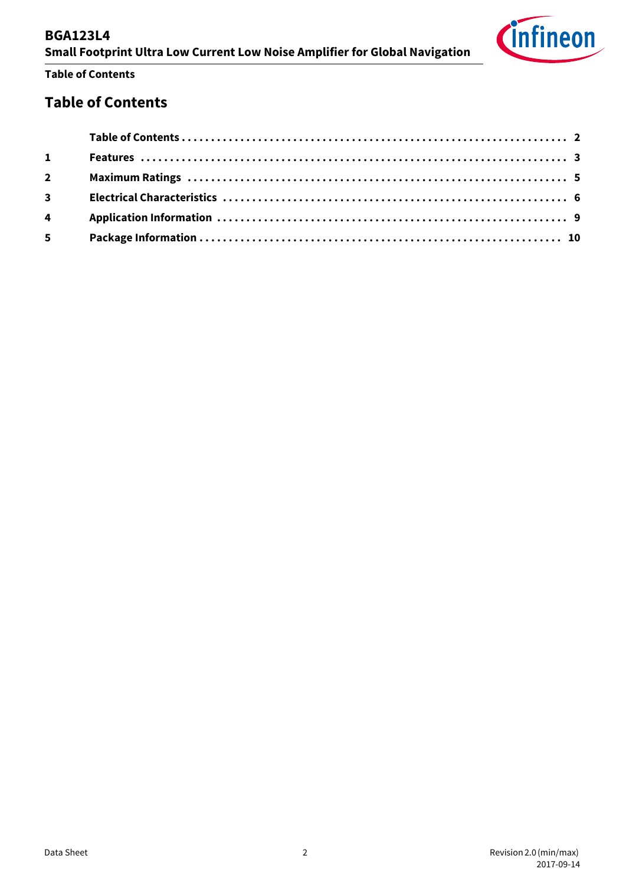| <b>Small Footprint Ultra Low Current Low Noise Amplifier for Global Navigation</b> |  |
|------------------------------------------------------------------------------------|--|
| <b>Table of Contents</b>                                                           |  |

## <span id="page-1-0"></span>**Table of Contents**

**BGA123L4**

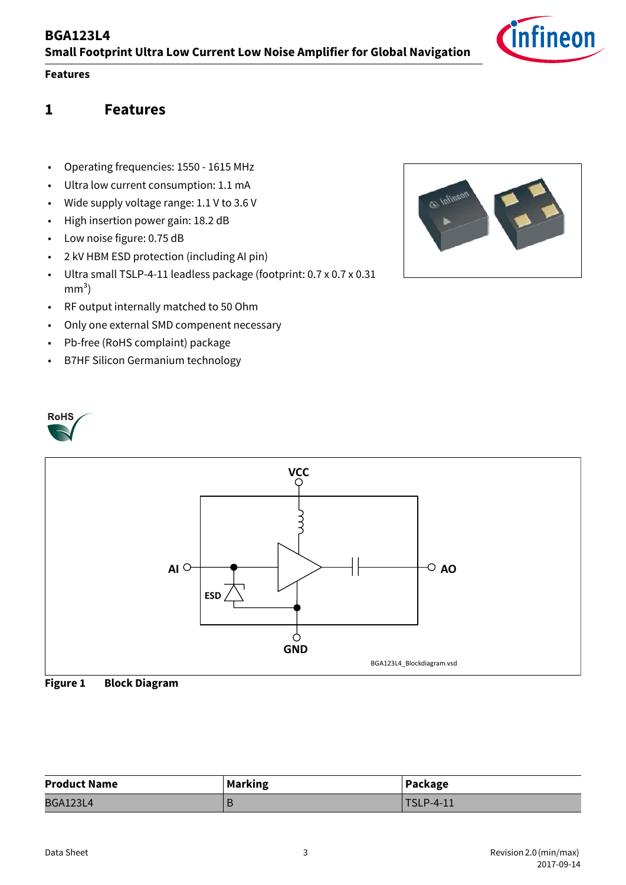## **Features**

**RoHS** 

## <span id="page-2-0"></span>**1 Features**

- Operating frequencies: 1550 1615 MHz
- Ultra low current consumption: 1.1 mA
- Wide supply voltage range: 1.1 V to 3.6 V
- High insertion power gain: 18.2 dB
- Low noise figure: 0.75 dB
- 2 kV HBM ESD protection (including AI pin)
- Ultra small TSLP-4-11 leadless package (footprint: 0.7 x 0.7 x 0.31  $mm<sup>3</sup>$ )
- RF output internally matched to 50 Ohm
- Only one external SMD compenent necessary
- Pb-free (RoHS complaint) package
- B7HF Silicon Germanium technology







| <b>Product Name</b> | <b>Marking</b> | Package          |
|---------------------|----------------|------------------|
| <b>BGA123L4</b>     |                | <b>TSLP-4-11</b> |

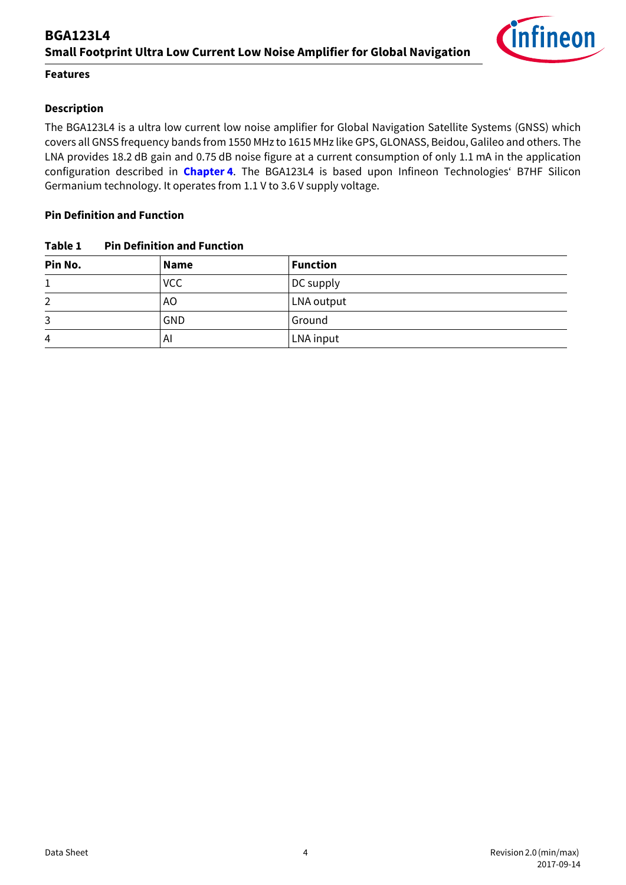

### **Features**

## **Description**

The BGA123L4 is a ultra low current low noise amplifier for Global Navigation Satellite Systems (GNSS) which covers all GNSS frequency bands from 1550 MHz to 1615 MHz like GPS, GLONASS, Beidou, Galileo and others. The LNA provides 18.2 dB gain and 0.75 dB noise figure at a current consumption of only 1.1 mA in the application configuration described in **[Chapter 4](#page-8-1)**. The BGA123L4 is based upon Infineon Technologies' B7HF Silicon Germanium technology. It operates from 1.1 V to 3.6 V supply voltage.

#### **Pin Definition and Function**

| Table 1 | <b>Pin Definition and Function</b> |
|---------|------------------------------------|
|---------|------------------------------------|

| Pin No. | Name       | <b>Function</b> |
|---------|------------|-----------------|
|         | <b>VCC</b> | DC supply       |
| 2       | AO         | LNA output      |
| 3       | <b>GND</b> | Ground          |
| 4       | ΑI         | LNA input       |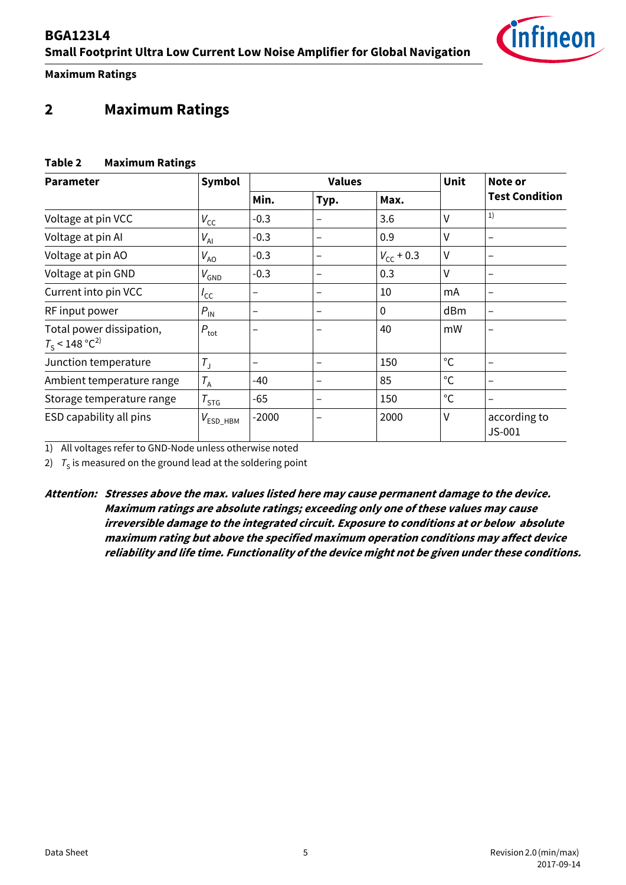**Maximum Ratings**

## <span id="page-4-0"></span>**2 Maximum Ratings**

## **Table 2 Maximum Ratings**

| <b>Parameter</b>                                         | Symbol            |         | <b>Values</b>            | Unit           | Note or      |                          |
|----------------------------------------------------------|-------------------|---------|--------------------------|----------------|--------------|--------------------------|
|                                                          |                   | Min.    | Typ.                     | Max.           |              | <b>Test Condition</b>    |
| Voltage at pin VCC                                       | $V_{\rm CC}$      | $-0.3$  |                          | 3.6            | V            | 1)                       |
| Voltage at pin Al                                        | $V_{\rm Al}$      | $-0.3$  | -                        | 0.9            | V            | -                        |
| Voltage at pin AO                                        | $V_{AO}$          | $-0.3$  | -                        | $V_{cc}$ + 0.3 | V            |                          |
| Voltage at pin GND                                       | $V_{\text{GND}}$  | $-0.3$  | $\overline{\phantom{0}}$ | 0.3            | V            | $\overline{\phantom{m}}$ |
| Current into pin VCC                                     | $I_{\mathsf{CC}}$ | -       | $\overline{\phantom{0}}$ | 10             | mA           | $\overline{\phantom{0}}$ |
| RF input power                                           | $P_{\rm IN}$      | -       | $\overline{\phantom{0}}$ | $\mathbf{0}$   | dBm          | -                        |
| Total power dissipation,<br>$T_s$ < 148 °C <sup>2)</sup> | $P_{\rm tot}$     |         |                          | 40             | mW           |                          |
| Junction temperature                                     | $T_{\rm J}$       |         |                          | 150            | $^{\circ}$ C |                          |
| Ambient temperature range                                | $T_A$             | -40     | -                        | 85             | $^{\circ}$ C |                          |
| Storage temperature range                                | $T_{STG}$         | $-65$   | -                        | 150            | $^{\circ}$ C |                          |
| ESD capability all pins                                  | $V_{ESD\_HBM}$    | $-2000$ |                          | 2000           | ٧            | according to<br>$JS-001$ |

1) All voltages refer to GND-Node unless otherwise noted

2)  $T_S$  is measured on the ground lead at the soldering point

**Attention: Stresses above the max. values listed here may cause permanent damage to the device. Maximum ratings are absolute ratings; exceeding only one of these values may cause irreversible damage to the integrated circuit. Exposure to conditions at or below absolute maximum rating but above the specified maximum operation conditions may affect device reliability and life time. Functionality of the device might not be given under these conditions.**

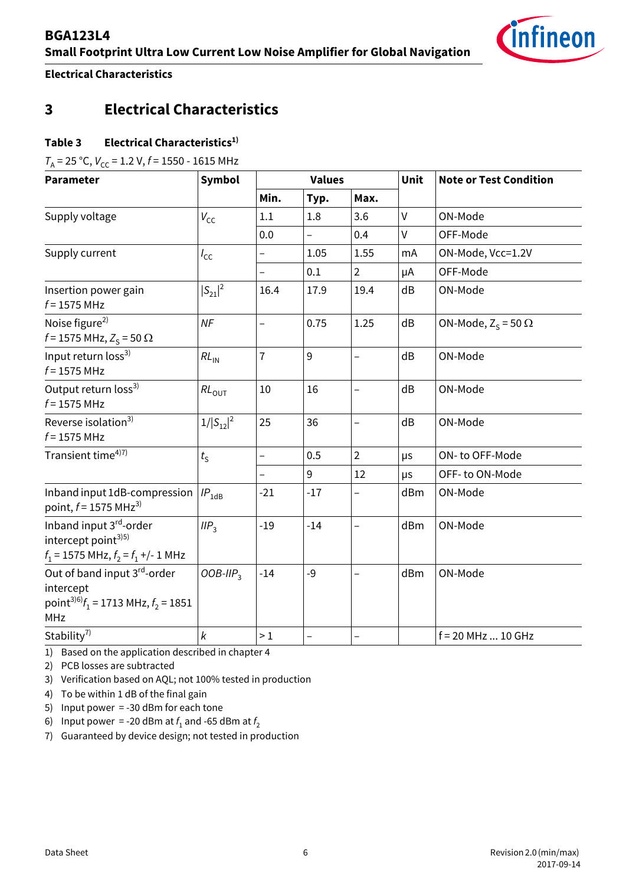

**Electrical Characteristics**

## <span id="page-5-0"></span>**3 Electrical Characteristics**

## Table 3 Electrical Characteristics<sup>1)</sup>

 $T_A$  = 25 °C,  $V_{CC}$  = 1.2 V,  $f$  = 1550 - 1615 MHz

| <b>Parameter</b>                                                                                               | <b>Symbol</b>     | <b>Values</b>            |       |                          | Unit         | <b>Note or Test Condition</b> |  |
|----------------------------------------------------------------------------------------------------------------|-------------------|--------------------------|-------|--------------------------|--------------|-------------------------------|--|
|                                                                                                                |                   | Min.                     | Typ.  | Max.                     |              |                               |  |
| Supply voltage                                                                                                 | $V_{\rm CC}$      | 1.1                      | 1.8   | 3.6                      | $\mathsf{V}$ | ON-Mode                       |  |
|                                                                                                                |                   | 0.0                      |       | 0.4                      | $\mathsf{V}$ | OFF-Mode                      |  |
| Supply current                                                                                                 | $I_{\text{CC}}$   | $\overline{\phantom{0}}$ | 1.05  | 1.55                     | mA           | ON-Mode, Vcc=1.2V             |  |
|                                                                                                                |                   |                          | 0.1   | $\overline{2}$           | μA           | OFF-Mode                      |  |
| Insertion power gain<br>$f = 1575$ MHz                                                                         | $ S_{21} ^2$      | 16.4                     | 17.9  | 19.4                     | dB           | ON-Mode                       |  |
| Noise figure <sup>2)</sup><br>$f = 1575 \text{ MHz}, Z_{S} = 50 \Omega$                                        | NF                | $\overline{a}$           | 0.75  | 1.25                     | dB           | ON-Mode, $Z_s = 50 \Omega$    |  |
| Input return loss <sup>3)</sup><br>$f = 1575$ MHz                                                              | $RL_{IN}$         | $\overline{1}$           | 9     | $\overline{\phantom{0}}$ | dB           | ON-Mode                       |  |
| Output return loss <sup>3)</sup><br>$f = 1575$ MHz                                                             | $RL_{\text{OUT}}$ | 10                       | 16    | $\overline{a}$           | dB           | ON-Mode                       |  |
| Reverse isolation <sup>3)</sup><br>$f = 1575$ MHz                                                              | $1/ S_{12} ^2$    | 25                       | 36    | $\overline{\phantom{0}}$ | dB           | ON-Mode                       |  |
| Transient time <sup>4)7)</sup>                                                                                 | $t_{\rm S}$       | $\overline{a}$           | 0.5   | $\overline{2}$           | μs           | ON-to OFF-Mode                |  |
|                                                                                                                |                   |                          | 9     | 12                       | μs           | OFF-to ON-Mode                |  |
| Inband input 1dB-compression<br>point, $f = 1575 \text{ MHz}^{3}$                                              | $IP_{1dB}$        | $-21$                    | $-17$ |                          | dBm          | ON-Mode                       |  |
| Inband input 3rd-order<br>intercept point <sup>3)5)</sup><br>$f_1$ = 1575 MHz, $f_2 = f_1 +/- 1$ MHz           | IIP <sub>3</sub>  | $-19$                    | $-14$ | $\overline{\phantom{0}}$ | dBm          | ON-Mode                       |  |
| Out of band input 3rd-order<br>intercept<br>point <sup>3)6)</sup> $f_1$ = 1713 MHz, $f_2$ = 1851<br><b>MHz</b> | OOB-II $P_3$      | $-14$                    | $-9$  |                          | dBm          | ON-Mode                       |  |
| Stability <sup>7)</sup>                                                                                        | k                 | $>1$                     |       |                          |              | f = 20 MHz  10 GHz            |  |

1) Based on the application described in chapter 4

2) PCB losses are subtracted

3) Verification based on AQL; not 100% tested in production

4) To be within 1 dB of the final gain

- 5) Input power = -30 dBm for each tone
- 6) Input power = -20 dBm at  $f_1$  and -65 dBm at  $f_2$
- 7) Guaranteed by device design; not tested in production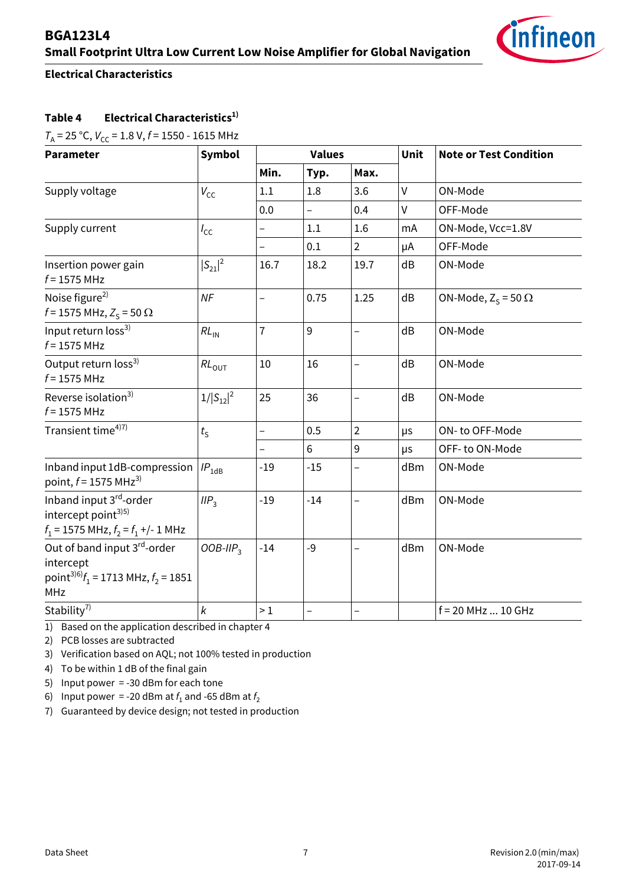

## **Electrical Characteristics**

## Table 4 Electrical Characteristics<sup>1)</sup>

 $T_A$  = 25 °C,  $V_{CC}$  = 1.8 V,  $f$  = 1550 - 1615 MHz

| <b>Parameter</b>                                                                                        | <b>Symbol</b>    | <b>Values</b>            |       |                          | Unit | <b>Note or Test Condition</b> |
|---------------------------------------------------------------------------------------------------------|------------------|--------------------------|-------|--------------------------|------|-------------------------------|
|                                                                                                         |                  | Min.                     | Typ.  | Max.                     |      |                               |
| Supply voltage                                                                                          | $V_{\text{CC}}$  | 1.1                      | 1.8   | 3.6                      | V    | ON-Mode                       |
|                                                                                                         |                  | 0.0                      |       | 0.4                      | V    | OFF-Mode                      |
| Supply current                                                                                          | $I_{\text{CC}}$  | $\overline{\phantom{0}}$ | 1.1   | 1.6                      | mA   | ON-Mode, Vcc=1.8V             |
|                                                                                                         |                  | $\overline{\phantom{0}}$ | 0.1   | $\overline{2}$           | μA   | OFF-Mode                      |
| Insertion power gain<br>$f = 1575$ MHz                                                                  | $ S_{21} ^2$     | 16.7                     | 18.2  | 19.7                     | dB   | ON-Mode                       |
| Noise figure <sup>2)</sup><br>$f = 1575 \text{ MHz}, Z_s = 50 \Omega$                                   | NF               | $\overline{\phantom{0}}$ | 0.75  | 1.25                     | dB   | ON-Mode, $Z_s = 50 \Omega$    |
| Input return loss <sup>3)</sup><br>$f = 1575$ MHz                                                       | $RL_{IN}$        | $\overline{1}$           | 9     | $\overline{\phantom{0}}$ | dB   | ON-Mode                       |
| Output return loss <sup>3)</sup><br>$f = 1575$ MHz                                                      | $RL_{OUT}$       | 10                       | 16    | $\overline{\phantom{0}}$ | dB   | ON-Mode                       |
| Reverse isolation <sup>3)</sup><br>$f = 1575$ MHz                                                       | $1/ S_{12} ^2$   | 25                       | 36    | $\qquad \qquad -$        | dB   | ON-Mode                       |
| Transient time <sup>4)7)</sup>                                                                          | $t_{\rm S}$      | $\overline{\phantom{0}}$ | 0.5   | $\overline{2}$           | μs   | ON-to OFF-Mode                |
|                                                                                                         |                  | $\qquad \qquad -$        | 6     | $9\,$                    | μs   | OFF- to ON-Mode               |
| Inband input 1dB-compression<br>point, $f = 1575 \text{ MHz}^{3}$                                       | $IP_{\rm 1dB}$   | $-19$                    | $-15$ |                          | dBm  | ON-Mode                       |
| Inband input 3rd-order<br>intercept point <sup>3)5)</sup><br>$f_1$ = 1575 MHz, $f_2 = f_1 +/- 1$ MHz    | IIP <sub>3</sub> | $-19$                    | $-14$ | $\overline{\phantom{0}}$ | dBm  | ON-Mode                       |
| Out of band input 3rd-order<br>intercept<br>point <sup>3)6)</sup> $f_1$ = 1713 MHz, $f_2$ = 1851<br>MHz | $OOB-IIP3$       | $-14$                    | $-9$  | $\overline{\phantom{0}}$ | dBm  | ON-Mode                       |
| Stability <sup>7)</sup>                                                                                 | $\pmb{k}$        | >1                       |       |                          |      | $f = 20$ MHz  10 GHz          |

1) Based on the application described in chapter 4

2) PCB losses are subtracted

3) Verification based on AQL; not 100% tested in production

4) To be within 1 dB of the final gain

5) Input power = -30 dBm for each tone

6) Input power = -20 dBm at  $f_1$  and -65 dBm at  $f_2$ 

7) Guaranteed by device design; not tested in production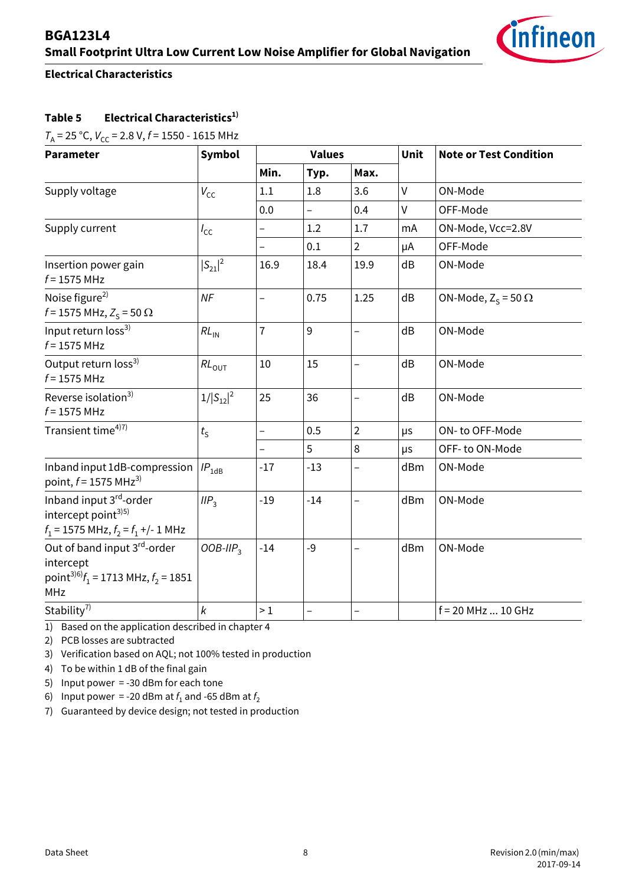

## **Electrical Characteristics**

## **Table 5 Electrical Characteristics1)**

 $T_A$  = 25 °C,  $V_{CC}$  = 2.8 V,  $f$  = 1550 - 1615 MHz

<span id="page-7-0"></span>

| <b>Parameter</b>                                                                                               | <b>Symbol</b>    | <b>Values</b>            |       |                          | Unit | <b>Note or Test Condition</b> |
|----------------------------------------------------------------------------------------------------------------|------------------|--------------------------|-------|--------------------------|------|-------------------------------|
|                                                                                                                |                  | Min.                     | Typ.  | Max.                     |      |                               |
| Supply voltage                                                                                                 | $V_{\text{CC}}$  | 1.1                      | 1.8   | 3.6                      | V    | ON-Mode                       |
|                                                                                                                |                  | 0.0                      |       | 0.4                      | V    | OFF-Mode                      |
| Supply current                                                                                                 | $I_{\text{CC}}$  | $\overline{\phantom{0}}$ | 1.2   | 1.7                      | mA   | ON-Mode, Vcc=2.8V             |
|                                                                                                                |                  | $\overline{\phantom{0}}$ | 0.1   | $\overline{2}$           | μA   | OFF-Mode                      |
| Insertion power gain<br>$f = 1575$ MHz                                                                         | $ S_{21} ^2$     | 16.9                     | 18.4  | 19.9                     | dB   | ON-Mode                       |
| Noise figure <sup>2)</sup><br>$f = 1575 \text{ MHz}, Z_{S} = 50 \Omega$                                        | NF               | $\overline{\phantom{0}}$ | 0.75  | 1.25                     | dB   | ON-Mode, $Z_s = 50 \Omega$    |
| Input return loss <sup>3)</sup><br>$f = 1575$ MHz                                                              | $RL_{IN}$        | $\overline{1}$           | 9     | $\qquad \qquad -$        | dB   | ON-Mode                       |
| Output return loss <sup>3)</sup><br>$f = 1575$ MHz                                                             | $RL_{OUT}$       | 10                       | 15    | $\overline{\phantom{0}}$ | dB   | ON-Mode                       |
| Reverse isolation <sup>3)</sup><br>$f = 1575$ MHz                                                              | $1/ S_{12} ^2$   | 25                       | 36    | -                        | dB   | ON-Mode                       |
| Transient time <sup>4)7)</sup>                                                                                 | $t_{\rm S}$      | $\overline{\phantom{0}}$ | 0.5   | $\overline{2}$           | μs   | ON-to OFF-Mode                |
|                                                                                                                |                  | $\overline{\phantom{0}}$ | 5     | 8                        | μs   | OFF- to ON-Mode               |
| Inband input 1dB-compression<br>point, $f = 1575 \text{ MHz}^{3}$                                              | $IP_{1dB}$       | $-17$                    | $-13$ | $\overline{\phantom{0}}$ | dBm  | ON-Mode                       |
| Inband input 3rd-order<br>intercept point <sup>3)5)</sup><br>$f_1$ = 1575 MHz, $f_2 = f_1 +$ /-1 MHz           | IIP <sub>3</sub> | $-19$                    | $-14$ | $\overline{\phantom{0}}$ | dBm  | ON-Mode                       |
| Out of band input 3rd-order<br>intercept<br>point <sup>3)6)</sup> $f_1$ = 1713 MHz, $f_2$ = 1851<br><b>MHz</b> | $OOB-IIP3$       | $-14$                    | $-9$  | —                        | dBm  | ON-Mode                       |
| Stability <sup>7)</sup>                                                                                        | $\pmb{k}$        | >1                       |       |                          |      | $f = 20$ MHz  10 GHz          |

<span id="page-7-1"></span>1) Based on the application described in chapter 4

2) PCB losses are subtracted

3) Verification based on AQL; not 100% tested in production

4) To be within 1 dB of the final gain

5) Input power = -30 dBm for each tone

6) Input power = -20 dBm at  $f_1$  and -65 dBm at  $f_2$ 

7) Guaranteed by device design; not tested in production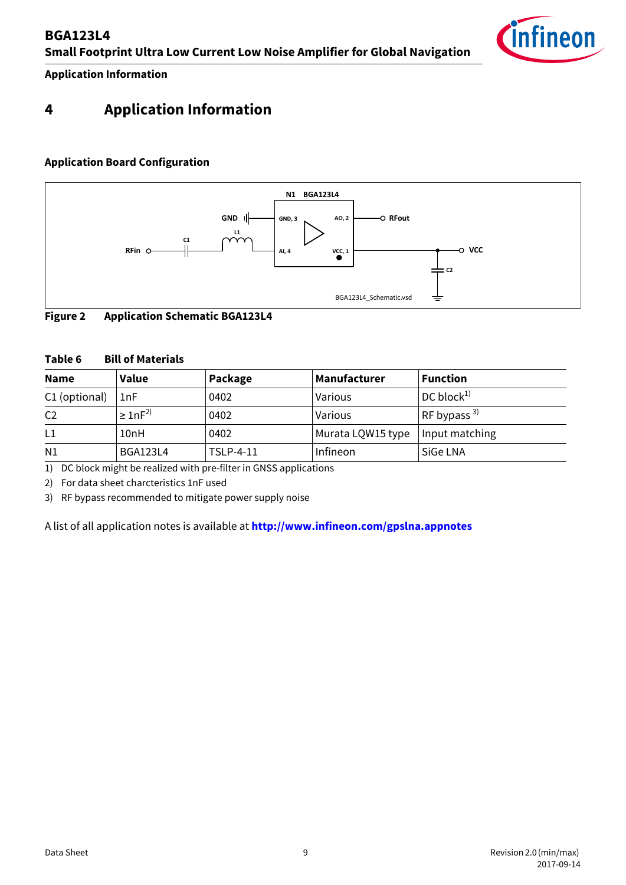

**Application Information**

## <span id="page-8-1"></span><span id="page-8-0"></span>**4 Application Information**

## **Application Board Configuration**



## **Figure 2 Application Schematic BGA123L4**

#### **Table 6 Bill of Materials**

| <b>Name</b>    | <b>Value</b>       | Package          | Manufacturer      | <b>Function</b>       |
|----------------|--------------------|------------------|-------------------|-----------------------|
| C1 (optional)  | 1nF                | 0402             | Various           | DC block <sup>1</sup> |
| C <sub>2</sub> | $\geq 1$ n $F^{2}$ | 0402             | Various           | RF bypass $^{3)}$     |
| L1             | 10nH               | 0402             | Murata LQW15 type | Input matching        |
| N1             | <b>BGA123L4</b>    | <b>TSLP-4-11</b> | Infineon          | SiGe LNA              |

1) DC block might be realized with pre-filter in GNSS applications

2) For data sheet charcteristics 1nF used

3) RF bypass recommended to mitigate power supply noise

A list of all application notes is available at **http://www.infineon.com/gpslna.appnotes**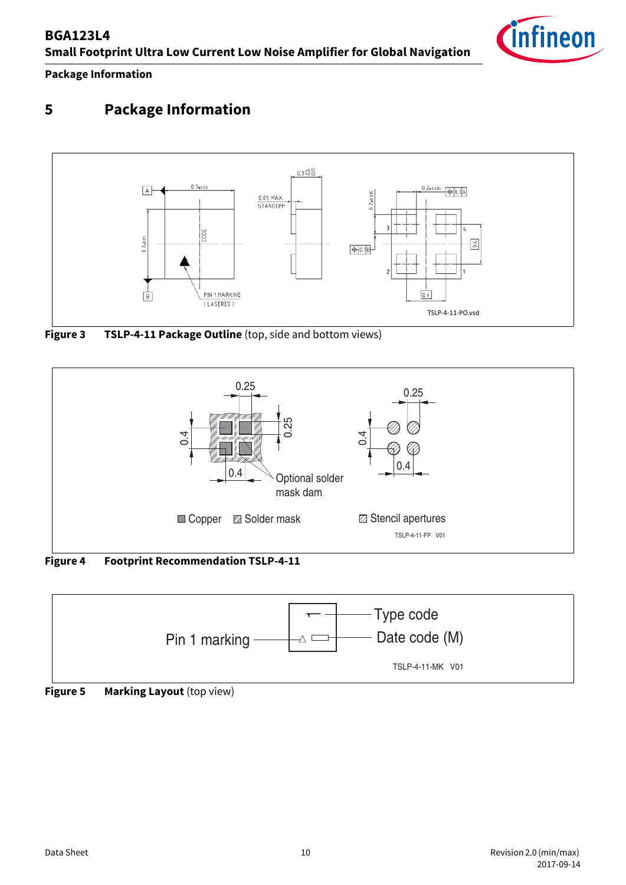**Package Information**

# <span id="page-9-0"></span>**5 Package Information**



**Figure 3 TSLP-4-11 Package Outline** (top, side and bottom views)



**Figure 4 Footprint Recommendation TSLP-4-11**



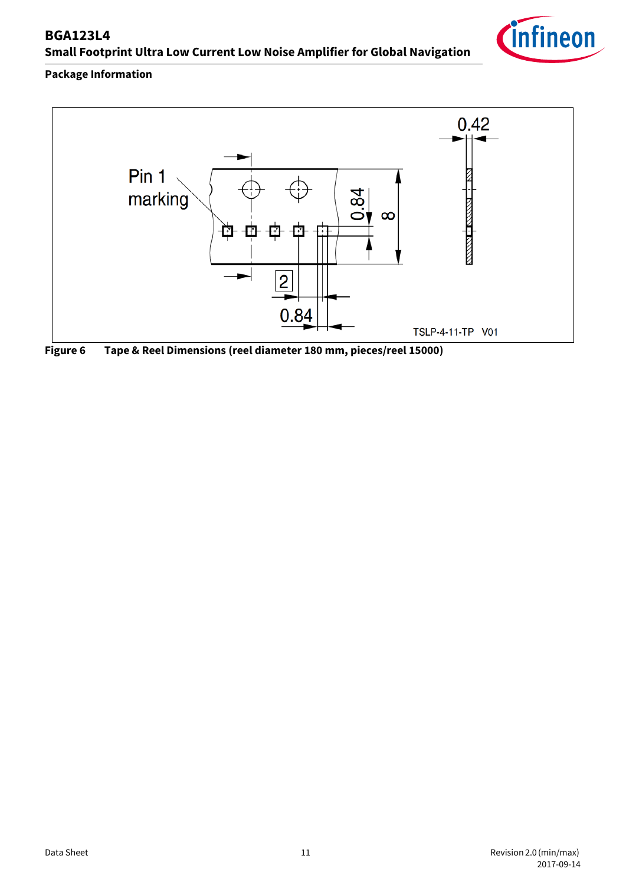## **Package Information**





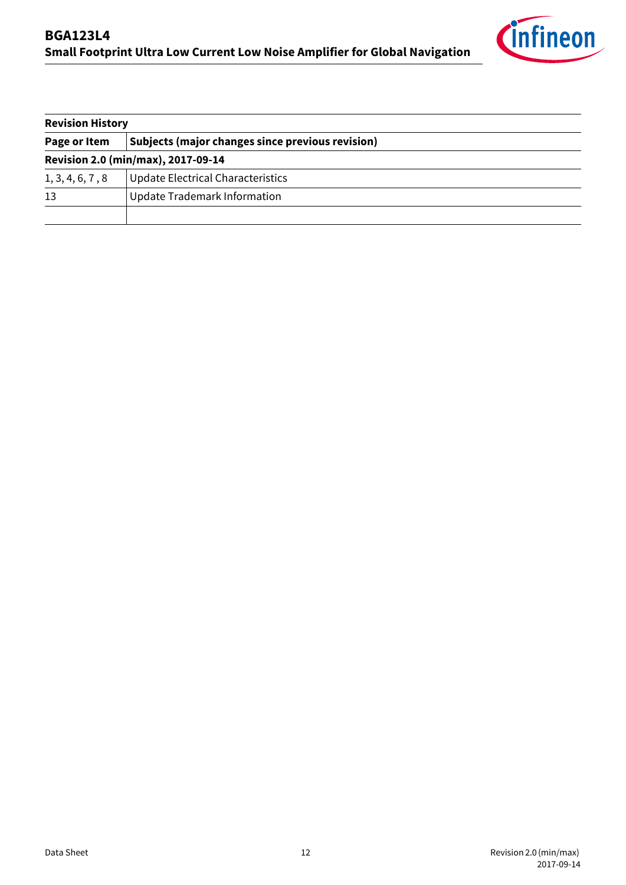

| <b>Revision History</b>            |                                                  |  |  |  |  |
|------------------------------------|--------------------------------------------------|--|--|--|--|
| Page or Item                       | Subjects (major changes since previous revision) |  |  |  |  |
| Revision 2.0 (min/max), 2017-09-14 |                                                  |  |  |  |  |
| 1, 3, 4, 6, 7, 8                   | Update Electrical Characteristics                |  |  |  |  |
| 13                                 | Update Trademark Information                     |  |  |  |  |